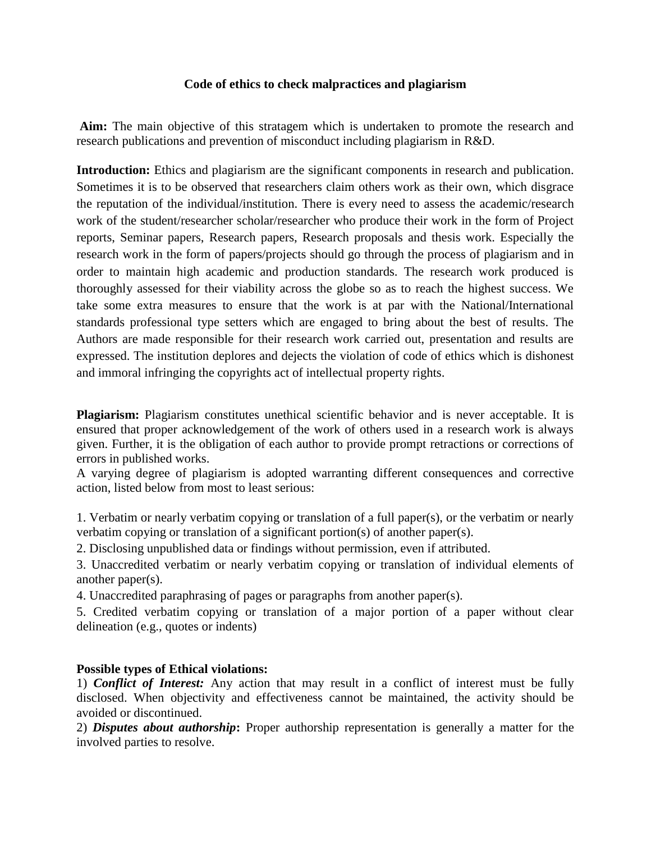### **Code of ethics to check malpractices and plagiarism**

**Aim:** The main objective of this stratagem which is undertaken to promote the research and research publications and prevention of misconduct including plagiarism in R&D.

**Introduction:** Ethics and plagiarism are the significant components in research and publication. Sometimes it is to be observed that researchers claim others work as their own, which disgrace the reputation of the individual/institution. There is every need to assess the academic/research work of the student/researcher scholar/researcher who produce their work in the form of Project reports, Seminar papers, Research papers, Research proposals and thesis work. Especially the research work in the form of papers/projects should go through the process of plagiarism and in order to maintain high academic and production standards. The research work produced is thoroughly assessed for their viability across the globe so as to reach the highest success. We take some extra measures to ensure that the work is at par with the National/International standards professional type setters which are engaged to bring about the best of results. The Authors are made responsible for their research work carried out, presentation and results are expressed. The institution deplores and dejects the violation of code of ethics which is dishonest and immoral infringing the copyrights act of intellectual property rights.

**Plagiarism:** Plagiarism constitutes unethical scientific behavior and is never acceptable. It is ensured that proper acknowledgement of the work of others used in a research work is always given. Further, it is the obligation of each author to provide prompt retractions or corrections of errors in published works.

A varying degree of plagiarism is adopted warranting different consequences and corrective action, listed below from most to least serious:

1. Verbatim or nearly verbatim copying or translation of a full paper(s), or the verbatim or nearly verbatim copying or translation of a significant portion(s) of another paper(s).

2. Disclosing unpublished data or findings without permission, even if attributed.

3. Unaccredited verbatim or nearly verbatim copying or translation of individual elements of another paper(s).

4. Unaccredited paraphrasing of pages or paragraphs from another paper(s).

5. Credited verbatim copying or translation of a major portion of a paper without clear delineation (e.g., quotes or indents)

### **Possible types of Ethical violations:**

1) *Conflict of Interest:* Any action that may result in a conflict of interest must be fully disclosed. When objectivity and effectiveness cannot be maintained, the activity should be avoided or discontinued.

2) *Disputes about authorship***:** Proper authorship representation is generally a matter for the involved parties to resolve.